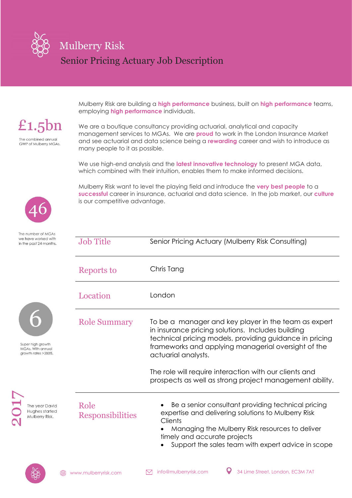

Mulberry Risk are building a **high performance** business, built on **high performance** teams, employing **high performance** individuals.

 $£1.5bn$ The combined annual **GWP of Mulberry MGAs.** 

We are a boutique consultancy providing actuarial, analytical and capacity management services to MGAs. We are **proud** to work in the London Insurance Market and see actuarial and data science being a **rewarding** career and wish to introduce as many people to it as possible.

We use high-end analysis and the **latest innovative technology** to present MGA data, which combined with their intuition, enables them to make informed decisions.

Mulberry Risk want to level the playing field and introduce the **very best people** to a **successful** career in insurance, actuarial and data science. In the job market, our **culture** is our competitive advantage.



The number of MGAs

| we have worked with<br>in the past 24 months.                 | <b>Job Title</b>                | Senior Pricing Actuary (Mulberry Risk Consulting)                                                                                                                                                                                                             |
|---------------------------------------------------------------|---------------------------------|---------------------------------------------------------------------------------------------------------------------------------------------------------------------------------------------------------------------------------------------------------------|
|                                                               | Reports to                      | Chris Tang                                                                                                                                                                                                                                                    |
|                                                               | Location                        | London                                                                                                                                                                                                                                                        |
| Super high growth<br>MGAs. With annual<br>growth rates >200%. | <b>Role Summary</b>             | To be a manager and key player in the team as expert<br>in insurance pricing solutions. Includes building<br>technical pricing models, providing guidance in pricing<br>frameworks and applying managerial oversight of the<br>actuarial analysts.            |
|                                                               |                                 | The role will require interaction with our clients and<br>prospects as well as strong project management ability.                                                                                                                                             |
| The year David<br>Hughes started<br>Mulberry Risk.            | Role<br><b>Responsibilities</b> | Be a senior consultant providing technical pricing<br>expertise and delivering solutions to Mulberry Risk<br>Clients<br>Managing the Mulberry Risk resources to deliver<br>timely and accurate projects<br>Support the sales team with expert advice in scope |